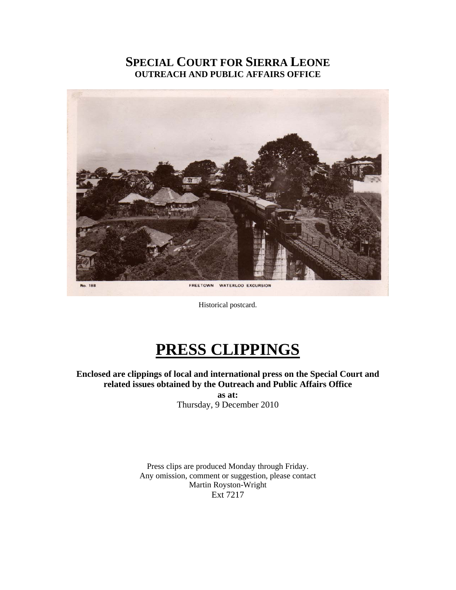# **SPECIAL COURT FOR SIERRA LEONE OUTREACH AND PUBLIC AFFAIRS OFFICE**



Historical postcard.

# **PRESS CLIPPINGS**

**Enclosed are clippings of local and international press on the Special Court and related issues obtained by the Outreach and Public Affairs Office** 

> **as at:**  Thursday, 9 December 2010

Press clips are produced Monday through Friday. Any omission, comment or suggestion, please contact Martin Royston-Wright Ext 7217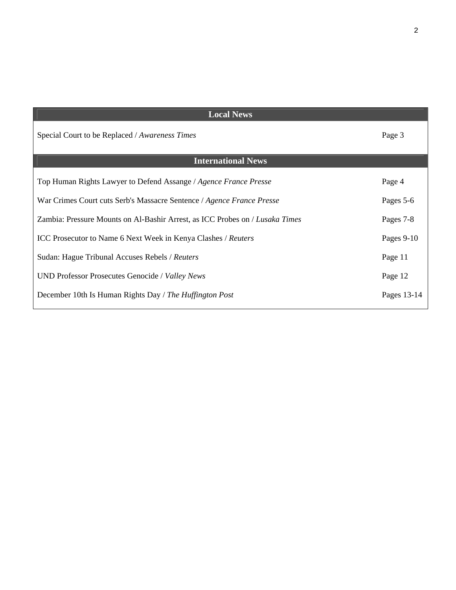| <b>Local News</b>                                                            |              |
|------------------------------------------------------------------------------|--------------|
| Special Court to be Replaced / Awareness Times                               | Page 3       |
| <b>International News</b>                                                    |              |
| Top Human Rights Lawyer to Defend Assange / Agence France Presse             | Page 4       |
| War Crimes Court cuts Serb's Massacre Sentence / Agence France Presse        | Pages 5-6    |
| Zambia: Pressure Mounts on Al-Bashir Arrest, as ICC Probes on / Lusaka Times | Pages 7-8    |
| <b>ICC Prosecutor to Name 6 Next Week in Kenya Clashes / Reuters</b>         | Pages $9-10$ |
| Sudan: Hague Tribunal Accuses Rebels / Reuters                               | Page 11      |
| <b>UND Professor Prosecutes Genocide / Valley News</b>                       | Page 12      |
| December 10th Is Human Rights Day / The Huffington Post                      | Pages 13-14  |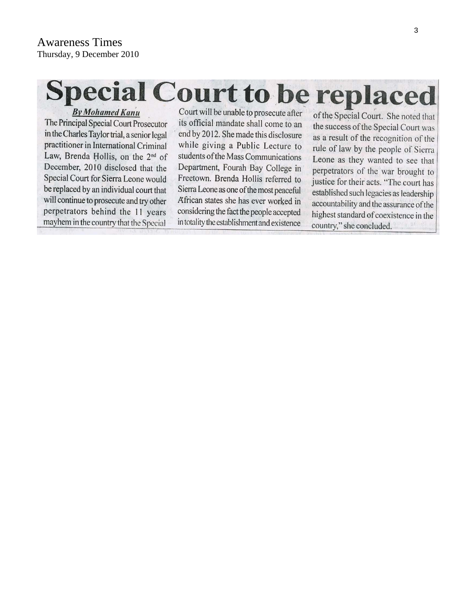# **Special Court to be replaced**

**By Mohamed Kanu** The Principal Special Court Prosecutor in the Charles Taylor trial, a senior legal practitioner in International Criminal Law, Brenda Hollis, on the 2<sup>nd</sup> of December, 2010 disclosed that the Special Court for Sierra Leone would be replaced by an individual court that will continue to prosecute and try other perpetrators behind the 11 years mayhem in the country that the Special

Court will be unable to prosecute after its official mandate shall come to an end by 2012. She made this disclosure while giving a Public Lecture to students of the Mass Communications Department, Fourah Bay College in Freetown. Brenda Hollis referred to Sierra Leone as one of the most peaceful African states she has ever worked in considering the fact the people accepted in totality the establishment and existence

of the Special Court. She noted that the success of the Special Court was as a result of the recognition of the rule of law by the people of Sierra Leone as they wanted to see that perpetrators of the war brought to justice for their acts. "The court has established such legacies as leadership accountability and the assurance of the highest standard of coexistence in the country," she concluded.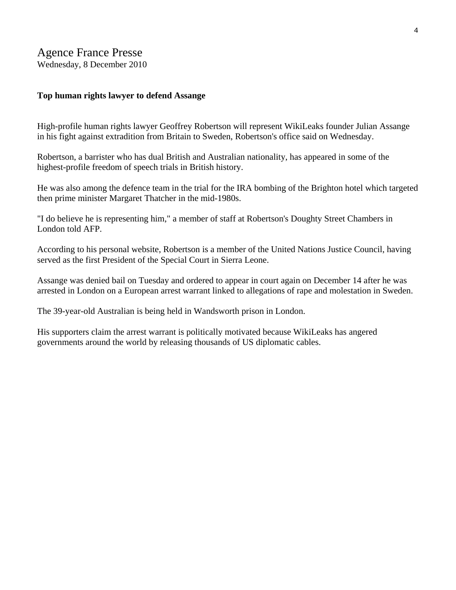### Agence France Presse Wednesday, 8 December 2010

#### **Top human rights lawyer to defend Assange**

High-profile human rights lawyer Geoffrey Robertson will represent WikiLeaks founder Julian Assange in his fight against extradition from Britain to Sweden, Robertson's office said on Wednesday.

Robertson, a barrister who has dual British and Australian nationality, has appeared in some of the highest-profile freedom of speech trials in British history.

He was also among the defence team in the trial for the IRA bombing of the Brighton hotel which targeted then prime minister Margaret Thatcher in the mid-1980s.

"I do believe he is representing him," a member of staff at Robertson's Doughty Street Chambers in London told AFP.

According to his personal website, Robertson is a member of the United Nations Justice Council, having served as the first President of the Special Court in Sierra Leone.

Assange was denied bail on Tuesday and ordered to appear in court again on December 14 after he was arrested in London on a European arrest warrant linked to allegations of rape and molestation in Sweden.

The 39-year-old Australian is being held in Wandsworth prison in London.

His supporters claim the arrest warrant is politically motivated because WikiLeaks has angered governments around the world by releasing thousands of US diplomatic cables.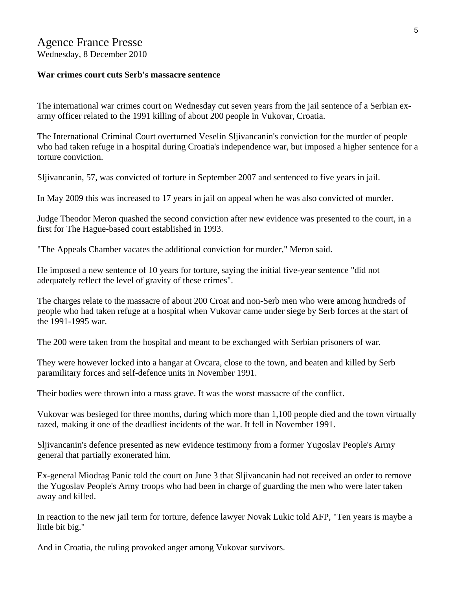## Agence France Presse Wednesday, 8 December 2010

#### **War crimes court cuts Serb's massacre sentence**

The international war crimes court on Wednesday cut seven years from the jail sentence of a Serbian exarmy officer related to the 1991 killing of about 200 people in Vukovar, Croatia.

The International Criminal Court overturned Veselin Sljivancanin's conviction for the murder of people who had taken refuge in a hospital during Croatia's independence war, but imposed a higher sentence for a torture conviction.

Sljivancanin, 57, was convicted of torture in September 2007 and sentenced to five years in jail.

In May 2009 this was increased to 17 years in jail on appeal when he was also convicted of murder.

Judge Theodor Meron quashed the second conviction after new evidence was presented to the court, in a first for The Hague-based court established in 1993.

"The Appeals Chamber vacates the additional conviction for murder," Meron said.

He imposed a new sentence of 10 years for torture, saying the initial five-year sentence "did not adequately reflect the level of gravity of these crimes".

The charges relate to the massacre of about 200 Croat and non-Serb men who were among hundreds of people who had taken refuge at a hospital when Vukovar came under siege by Serb forces at the start of the 1991-1995 war.

The 200 were taken from the hospital and meant to be exchanged with Serbian prisoners of war.

They were however locked into a hangar at Ovcara, close to the town, and beaten and killed by Serb paramilitary forces and self-defence units in November 1991.

Their bodies were thrown into a mass grave. It was the worst massacre of the conflict.

Vukovar was besieged for three months, during which more than 1,100 people died and the town virtually razed, making it one of the deadliest incidents of the war. It fell in November 1991.

Sljivancanin's defence presented as new evidence testimony from a former Yugoslav People's Army general that partially exonerated him.

Ex-general Miodrag Panic told the court on June 3 that Sljivancanin had not received an order to remove the Yugoslav People's Army troops who had been in charge of guarding the men who were later taken away and killed.

In reaction to the new jail term for torture, defence lawyer Novak Lukic told AFP, "Ten years is maybe a little bit big."

And in Croatia, the ruling provoked anger among Vukovar survivors.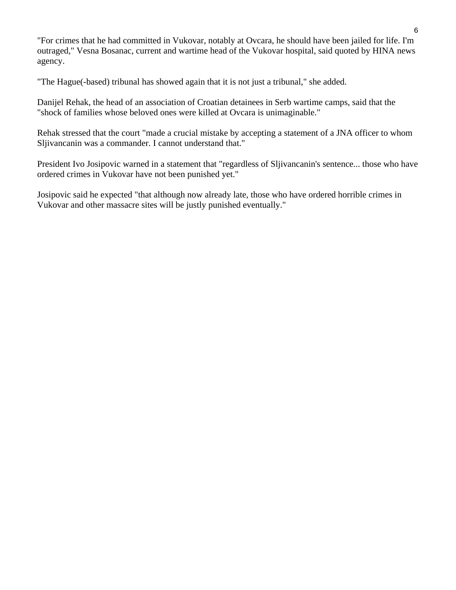"For crimes that he had committed in Vukovar, notably at Ovcara, he should have been jailed for life. I'm outraged," Vesna Bosanac, current and wartime head of the Vukovar hospital, said quoted by HINA news agency.

"The Hague(-based) tribunal has showed again that it is not just a tribunal," she added.

Danijel Rehak, the head of an association of Croatian detainees in Serb wartime camps, said that the "shock of families whose beloved ones were killed at Ovcara is unimaginable."

Rehak stressed that the court "made a crucial mistake by accepting a statement of a JNA officer to whom Sljivancanin was a commander. I cannot understand that."

President Ivo Josipovic warned in a statement that "regardless of Sljivancanin's sentence... those who have ordered crimes in Vukovar have not been punished yet."

Josipovic said he expected "that although now already late, those who have ordered horrible crimes in Vukovar and other massacre sites will be justly punished eventually."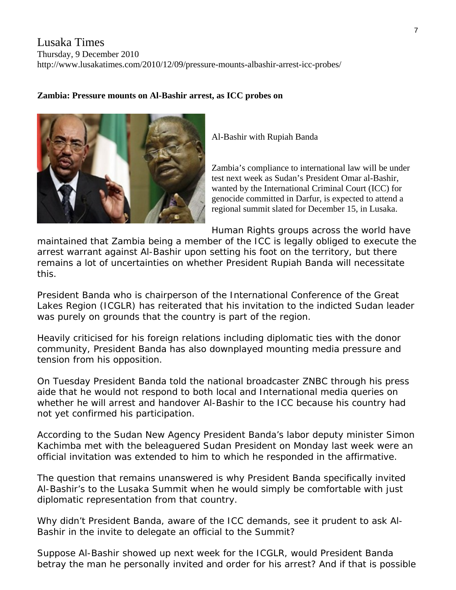# Lusaka Times Thursday, 9 December 2010 http://www.lusakatimes.com/2010/12/09/pressure-mounts-albashir-arrest-icc-probes/

#### **Zambia: Pressure mounts on Al-Bashir arrest, as ICC probes on**

Al-Bashir with Rupiah Banda

Zambia's compliance to international law will be under test next week as Sudan's President Omar al-Bashir, wanted by the International Criminal Court (ICC) for genocide committed in Darfur, is expected to attend a regional summit slated for December 15, in Lusaka.

Human Rights groups across the world have

maintained that Zambia being a member of the ICC is legally obliged to execute the arrest warrant against Al-Bashir upon setting his foot on the territory, but there remains a lot of uncertainties on whether President Rupiah Banda will necessitate this.

President Banda who is chairperson of the International Conference of the Great Lakes Region (ICGLR) has reiterated that his invitation to the indicted Sudan leader was purely on grounds that the country is part of the region.

Heavily criticised for his foreign relations including diplomatic ties with the donor community, President Banda has also downplayed mounting media pressure and tension from his opposition.

On Tuesday President Banda told the national broadcaster ZNBC through his press aide that he would not respond to both local and International media queries on whether he will arrest and handover Al-Bashir to the ICC because his country had not yet confirmed his participation.

According to the Sudan New Agency President Banda's labor deputy minister Simon Kachimba met with the beleaguered Sudan President on Monday last week were an official invitation was extended to him to which he responded in the affirmative.

The question that remains unanswered is why President Banda specifically invited Al-Bashir's to the Lusaka Summit when he would simply be comfortable with just diplomatic representation from that country.

Why didn't President Banda, aware of the ICC demands, see it prudent to ask Al-Bashir in the invite to delegate an official to the Summit?

Suppose Al-Bashir showed up next week for the ICGLR, would President Banda betray the man he personally invited and order for his arrest? And if that is possible

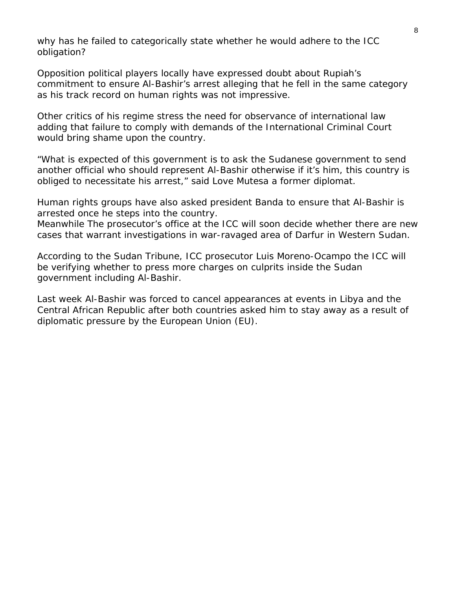why has he failed to categorically state whether he would adhere to the ICC obligation?

Opposition political players locally have expressed doubt about Rupiah's commitment to ensure Al-Bashir's arrest alleging that he fell in the same category as his track record on human rights was not impressive.

Other critics of his regime stress the need for observance of international law adding that failure to comply with demands of the International Criminal Court would bring shame upon the country.

"What is expected of this government is to ask the Sudanese government to send another official who should represent Al-Bashir otherwise if it's him, this country is obliged to necessitate his arrest," said Love Mutesa a former diplomat.

Human rights groups have also asked president Banda to ensure that Al-Bashir is arrested once he steps into the country.

Meanwhile The prosecutor's office at the ICC will soon decide whether there are new cases that warrant investigations in war-ravaged area of Darfur in Western Sudan.

According to the Sudan Tribune, ICC prosecutor Luis Moreno-Ocampo the ICC will be verifying whether to press more charges on culprits inside the Sudan government including Al-Bashir.

Last week Al-Bashir was forced to cancel appearances at events in Libya and the Central African Republic after both countries asked him to stay away as a result of diplomatic pressure by the European Union (EU).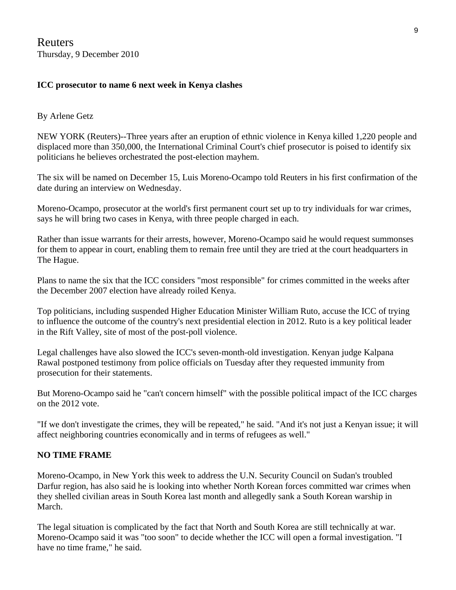Reuters Thursday, 9 December 2010

#### **ICC prosecutor to name 6 next week in Kenya clashes**

#### By Arlene Getz

NEW YORK (Reuters)--Three years after an eruption of ethnic violence in Kenya killed 1,220 people and displaced more than 350,000, the International Criminal Court's chief prosecutor is poised to identify six politicians he believes orchestrated the post-election mayhem.

The six will be named on December 15, Luis Moreno-Ocampo told Reuters in his first confirmation of the date during an interview on Wednesday.

Moreno-Ocampo, prosecutor at the world's first permanent court set up to try individuals for war crimes, says he will bring two cases in Kenya, with three people charged in each.

Rather than issue warrants for their arrests, however, Moreno-Ocampo said he would request summonses for them to appear in court, enabling them to remain free until they are tried at the court headquarters in The Hague.

Plans to name the six that the ICC considers "most responsible" for crimes committed in the weeks after the December 2007 election have already roiled Kenya.

Top politicians, including suspended Higher Education Minister William Ruto, accuse the ICC of trying to influence the outcome of the country's next presidential election in 2012. Ruto is a key political leader in the Rift Valley, site of most of the post-poll violence.

Legal challenges have also slowed the ICC's seven-month-old investigation. Kenyan judge Kalpana Rawal postponed testimony from police officials on Tuesday after they requested immunity from prosecution for their statements.

But Moreno-Ocampo said he "can't concern himself" with the possible political impact of the ICC charges on the 2012 vote.

"If we don't investigate the crimes, they will be repeated," he said. "And it's not just a Kenyan issue; it will affect neighboring countries economically and in terms of refugees as well."

#### **NO TIME FRAME**

Moreno-Ocampo, in New York this week to address the U.N. Security Council on Sudan's troubled Darfur region, has also said he is looking into whether North Korean forces committed war crimes when they shelled civilian areas in South Korea last month and allegedly sank a South Korean warship in March.

The legal situation is complicated by the fact that North and South Korea are still technically at war. Moreno-Ocampo said it was "too soon" to decide whether the ICC will open a formal investigation. "I have no time frame," he said.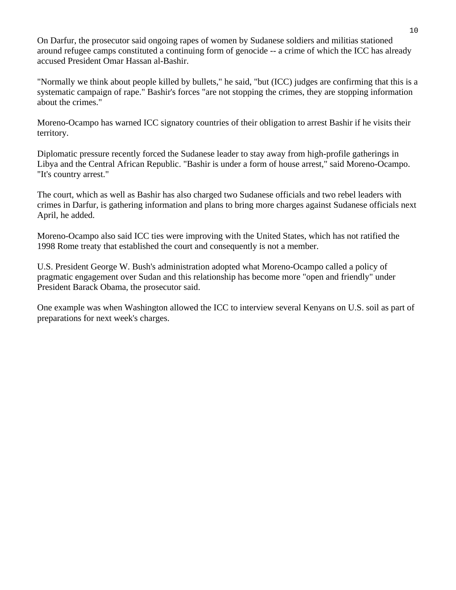On Darfur, the prosecutor said ongoing rapes of women by Sudanese soldiers and militias stationed around refugee camps constituted a continuing form of genocide -- a crime of which the ICC has already accused President Omar Hassan al-Bashir.

"Normally we think about people killed by bullets," he said, "but (ICC) judges are confirming that this is a systematic campaign of rape." Bashir's forces "are not stopping the crimes, they are stopping information about the crimes."

Moreno-Ocampo has warned ICC signatory countries of their obligation to arrest Bashir if he visits their territory.

Diplomatic pressure recently forced the Sudanese leader to stay away from high-profile gatherings in Libya and the Central African Republic. "Bashir is under a form of house arrest," said Moreno-Ocampo. "It's country arrest."

The court, which as well as Bashir has also charged two Sudanese officials and two rebel leaders with crimes in Darfur, is gathering information and plans to bring more charges against Sudanese officials next April, he added.

Moreno-Ocampo also said ICC ties were improving with the United States, which has not ratified the 1998 Rome treaty that established the court and consequently is not a member.

U.S. President George W. Bush's administration adopted what Moreno-Ocampo called a policy of pragmatic engagement over Sudan and this relationship has become more "open and friendly" under President Barack Obama, the prosecutor said.

One example was when Washington allowed the ICC to interview several Kenyans on U.S. soil as part of preparations for next week's charges.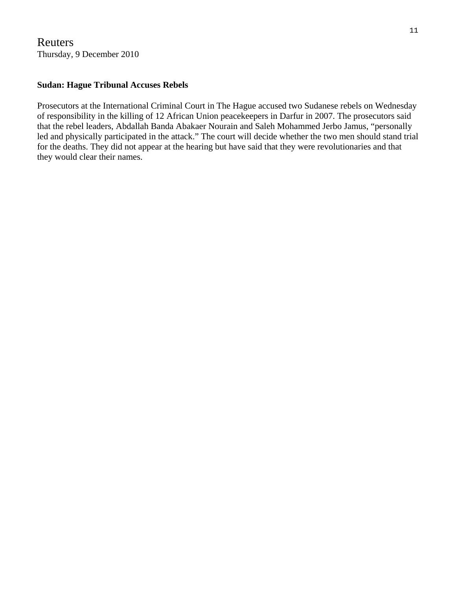# Reuters Thursday, 9 December 2010

#### **Sudan: Hague Tribunal Accuses Rebels**

Prosecutors at the International Criminal Court in The Hague accused two Sudanese rebels on Wednesday of responsibility in the killing of 12 African Union peacekeepers in Darfur in 2007. The prosecutors said that the rebel leaders, Abdallah Banda Abakaer Nourain and Saleh Mohammed Jerbo Jamus, "personally led and physically participated in the attack." The court will decide whether the two men should stand trial for the deaths. They did not appear at the hearing but have said that they were revolutionaries and that they would clear their names.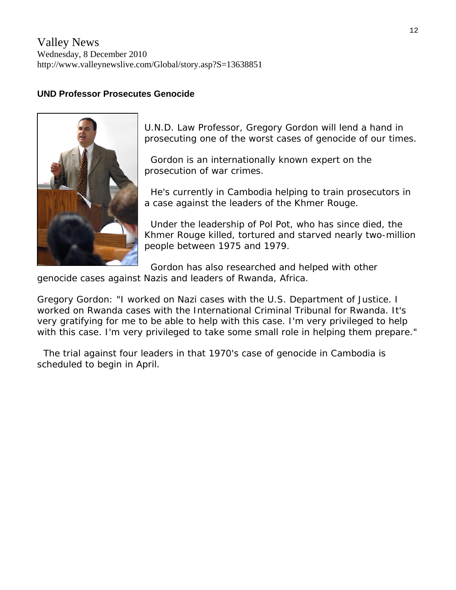Valley News Wednesday, 8 December 2010 http://www.valleynewslive.com/Global/story.asp?S=13638851

# **UND Professor Prosecutes Genocide**



U.N.D. Law Professor, Gregory Gordon will lend a hand in prosecuting one of the worst cases of genocide of our times.

 Gordon is an internationally known expert on the prosecution of war crimes.

 He's currently in Cambodia helping to train prosecutors in a case against the leaders of the Khmer Rouge.

 Under the leadership of Pol Pot, who has since died, the Khmer Rouge killed, tortured and starved nearly two-million people between 1975 and 1979.

Gordon has also researched and helped with other

genocide cases against Nazis and leaders of Rwanda, Africa.

Gregory Gordon: "I worked on Nazi cases with the U.S. Department of Justice. I worked on Rwanda cases with the International Criminal Tribunal for Rwanda. It's very gratifying for me to be able to help with this case. I'm very privileged to help with this case. I'm very privileged to take some small role in helping them prepare."

 The trial against four leaders in that 1970's case of genocide in Cambodia is scheduled to begin in April.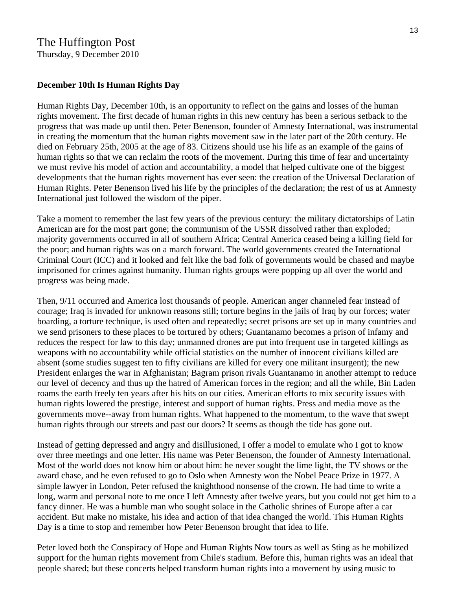Thursday, 9 December 2010

#### **December 10th Is Human Rights Day**

Human Rights Day, December 10th, is an opportunity to reflect on the gains and losses of the human rights movement. The first decade of human rights in this new century has been a serious setback to the progress that was made up until then. Peter Benenson, founder of Amnesty International, was instrumental in creating the momentum that the human rights movement saw in the later part of the 20th century. He died on February 25th, 2005 at the age of 83. Citizens should use his life as an example of the gains of human rights so that we can reclaim the roots of the movement. During this time of fear and uncertainty we must revive his model of action and accountability, a model that helped cultivate one of the biggest developments that the human rights movement has ever seen: the creation of the Universal Declaration of Human Rights. Peter Benenson lived his life by the principles of the declaration; the rest of us at Amnesty International just followed the wisdom of the piper.

Take a moment to remember the last few years of the previous century: the military dictatorships of Latin American are for the most part gone; the communism of the USSR dissolved rather than exploded; majority governments occurred in all of southern Africa; Central America ceased being a killing field for the poor; and human rights was on a march forward. The world governments created the International Criminal Court (ICC) and it looked and felt like the bad folk of governments would be chased and maybe imprisoned for crimes against humanity. Human rights groups were popping up all over the world and progress was being made.

Then, 9/11 occurred and America lost thousands of people. American anger channeled fear instead of courage; Iraq is invaded for unknown reasons still; torture begins in the jails of Iraq by our forces; water boarding, a torture technique, is used often and repeatedly; secret prisons are set up in many countries and we send prisoners to these places to be tortured by others; Guantanamo becomes a prison of infamy and reduces the respect for law to this day; unmanned drones are put into frequent use in targeted killings as weapons with no accountability while official statistics on the number of innocent civilians killed are absent (some studies suggest ten to fifty civilians are killed for every one militant insurgent); the new President enlarges the war in Afghanistan; Bagram prison rivals Guantanamo in another attempt to reduce our level of decency and thus up the hatred of American forces in the region; and all the while, Bin Laden roams the earth freely ten years after his hits on our cities. American efforts to mix security issues with human rights lowered the prestige, interest and support of human rights. Press and media move as the governments move--away from human rights. What happened to the momentum, to the wave that swept human rights through our streets and past our doors? It seems as though the tide has gone out.

Instead of getting depressed and angry and disillusioned, I offer a model to emulate who I got to know over three meetings and one letter. His name was Peter Benenson, the founder of Amnesty International. Most of the world does not know him or about him: he never sought the lime light, the TV shows or the award chase, and he even refused to go to Oslo when Amnesty won the Nobel Peace Prize in 1977. A simple lawyer in London, Peter refused the knighthood nonsense of the crown. He had time to write a long, warm and personal note to me once I left Amnesty after twelve years, but you could not get him to a fancy dinner. He was a humble man who sought solace in the Catholic shrines of Europe after a car accident. But make no mistake, his idea and action of that idea changed the world. This Human Rights Day is a time to stop and remember how Peter Benenson brought that idea to life.

Peter loved both the Conspiracy of Hope and Human Rights Now tours as well as Sting as he mobilized support for the human rights movement from Chile's stadium. Before this, human rights was an ideal that people shared; but these concerts helped transform human rights into a movement by using music to